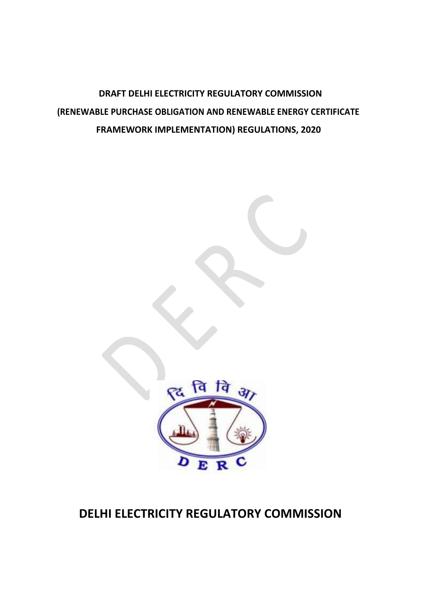**DRAFT DELHI ELECTRICITY REGULATORY COMMISSION (RENEWABLE PURCHASE OBLIGATION AND RENEWABLE ENERGY CERTIFICATE FRAMEWORK IMPLEMENTATION) REGULATIONS, 2020**



# **DELHI ELECTRICITY REGULATORY COMMISSION**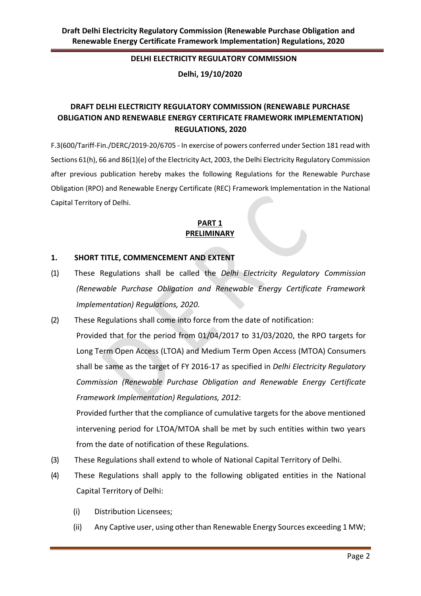#### **DELHI ELECTRICITY REGULATORY COMMISSION**

**Delhi, 19/10/2020**

## **DRAFT DELHI ELECTRICITY REGULATORY COMMISSION (RENEWABLE PURCHASE OBLIGATION AND RENEWABLE ENERGY CERTIFICATE FRAMEWORK IMPLEMENTATION) REGULATIONS, 2020**

F.3(600/Tariff-Fin./DERC/2019-20/6705 - In exercise of powers conferred under Section 181 read with Sections 61(h), 66 and 86(1)(e) of the Electricity Act, 2003, the Delhi Electricity Regulatory Commission after previous publication hereby makes the following Regulations for the Renewable Purchase Obligation (RPO) and Renewable Energy Certificate (REC) Framework Implementation in the National Capital Territory of Delhi.

## **PART 1 PRELIMINARY**

#### **1. SHORT TITLE, COMMENCEMENT AND EXTENT**

- (1) These Regulations shall be called the *Delhi Electricity Regulatory Commission (Renewable Purchase Obligation and Renewable Energy Certificate Framework Implementation) Regulations, 2020*.
- (2) These Regulations shall come into force from the date of notification: Provided that for the period from 01/04/2017 to 31/03/2020, the RPO targets for Long Term Open Access (LTOA) and Medium Term Open Access (MTOA) Consumers shall be same as the target of FY 2016-17 as specified in *Delhi Electricity Regulatory Commission (Renewable Purchase Obligation and Renewable Energy Certificate Framework Implementation) Regulations, 2012*:

Provided further that the compliance of cumulative targets for the above mentioned intervening period for LTOA/MTOA shall be met by such entities within two years from the date of notification of these Regulations.

- (3) These Regulations shall extend to whole of National Capital Territory of Delhi.
- (4) These Regulations shall apply to the following obligated entities in the National Capital Territory of Delhi:
	- (i) Distribution Licensees;
	- (ii) Any Captive user, using other than Renewable Energy Sources exceeding 1 MW;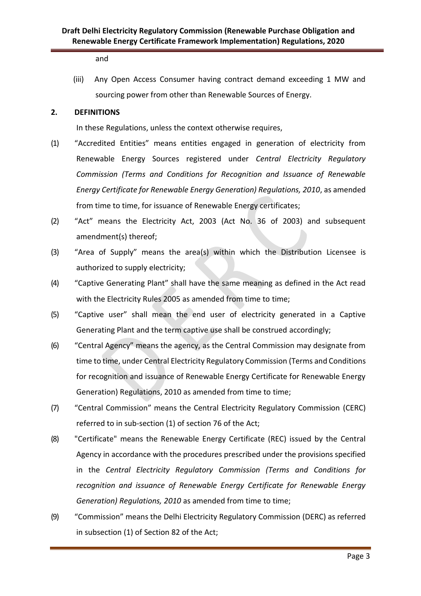and

(iii) Any Open Access Consumer having contract demand exceeding 1 MW and sourcing power from other than Renewable Sources of Energy.

#### **2. DEFINITIONS**

In these Regulations, unless the context otherwise requires,

- (1) "Accredited Entities" means entities engaged in generation of electricity from Renewable Energy Sources registered under *Central Electricity Regulatory Commission (Terms and Conditions for Recognition and Issuance of Renewable Energy Certificate for Renewable Energy Generation) Regulations, 2010*, as amended from time to time, for issuance of Renewable Energy certificates;
- (2) "Act" means the Electricity Act, 2003 (Act No. 36 of 2003) and subsequent amendment(s) thereof;
- (3) "Area of Supply" means the area(s) within which the Distribution Licensee is authorized to supply electricity;
- (4) "Captive Generating Plant" shall have the same meaning as defined in the Act read with the Electricity Rules 2005 as amended from time to time;
- (5) "Captive user" shall mean the end user of electricity generated in a Captive Generating Plant and the term captive use shall be construed accordingly;
- (6) "Central Agency" means the agency, as the Central Commission may designate from time to time, under Central Electricity Regulatory Commission (Terms and Conditions for recognition and issuance of Renewable Energy Certificate for Renewable Energy Generation) Regulations, 2010 as amended from time to time;
- (7) "Central Commission" means the Central Electricity Regulatory Commission (CERC) referred to in sub‐section (1) of section 76 of the Act;
- (8) "Certificate" means the Renewable Energy Certificate (REC) issued by the Central Agency in accordance with the procedures prescribed under the provisions specified in the *Central Electricity Regulatory Commission (Terms and Conditions for recognition and issuance of Renewable Energy Certificate for Renewable Energy Generation) Regulations, 2010* as amended from time to time;
- (9) "Commission" means the Delhi Electricity Regulatory Commission (DERC) as referred in subsection (1) of Section 82 of the Act;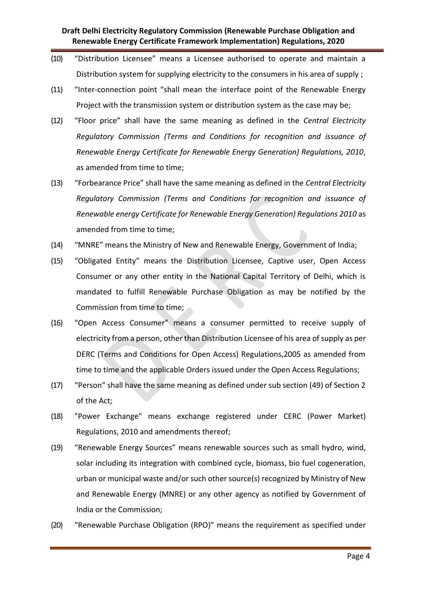- (10) "Distribution Licensee" means a Licensee authorised to operate and maintain a Distribution system for supplying electricity to the consumers in his area of supply ;
- (11) "Inter-connection point "shall mean the interface point of the Renewable Energy Project with the transmission system or distribution system as the case may be;
- (12) "Floor price" shall have the same meaning as defined in the *Central Electricity Regulatory Commission (Terms and Conditions for recognition and issuance of Renewable Energy Certificate for Renewable Energy Generation) Regulations, 2010*, as amended from time to time;
- (13) "Forbearance Price" shall have the same meaning as defined in the *Central Electricity Regulatory Commission (Terms and Conditions for recognition and issuance of Renewable energy Certificate for Renewable Energy Generation) Regulations 2010* as amended from time to time;
- (14) "MNRE" means the Ministry of New and Renewable Energy, Government of India;
- (15) "Obligated Entity" means the Distribution Licensee, Captive user, Open Access Consumer or any other entity in the National Capital Territory of Delhi, which is mandated to fulfill Renewable Purchase Obligation as may be notified by the Commission from time to time;
- (16) "Open Access Consumer" means a consumer permitted to receive supply of electricity from a person, other than Distribution Licensee of his area of supply as per DERC (Terms and Conditions for Open Access) Regulations,2005 as amended from time to time and the applicable Orders issued under the Open Access Regulations;
- (17) "Person" shall have the same meaning as defined under sub section (49) of Section 2 of the Act;
- (18) "Power Exchange" means exchange registered under CERC (Power Market) Regulations, 2010 and amendments thereof;
- (19) "Renewable Energy Sources" means renewable sources such as small hydro, wind, solar including its integration with combined cycle, biomass, bio fuel cogeneration, urban or municipal waste and/or such other source(s) recognized by Ministry of New and Renewable Energy (MNRE) or any other agency as notified by Government of India or the Commission;
- (20) "Renewable Purchase Obligation (RPO)" means the requirement as specified under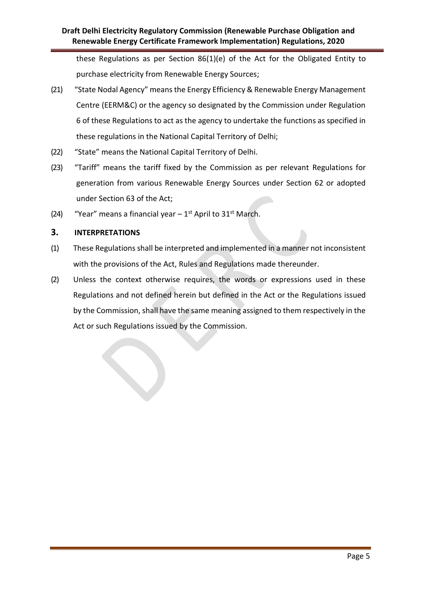these Regulations as per Section 86(1)(e) of the Act for the Obligated Entity to purchase electricity from Renewable Energy Sources;

- (21) "State Nodal Agency" means the Energy Efficiency & Renewable Energy Management Centre (EERM&C) or the agency so designated by the Commission under Regulation 6 of these Regulations to act as the agency to undertake the functions as specified in these regulations in the National Capital Territory of Delhi;
- (22) "State" means the National Capital Territory of Delhi.
- (23) "Tariff" means the tariff fixed by the Commission as per relevant Regulations for generation from various Renewable Energy Sources under Section 62 or adopted under Section 63 of the Act;
- (24) "Year" means a financial year  $-1^{st}$  April to 31<sup>st</sup> March.

## **3. INTERPRETATIONS**

- (1) These Regulations shall be interpreted and implemented in a manner not inconsistent with the provisions of the Act, Rules and Regulations made thereunder.
- (2) Unless the context otherwise requires, the words or expressions used in these Regulations and not defined herein but defined in the Act or the Regulations issued by the Commission, shall have the same meaning assigned to them respectively in the Act or such Regulations issued by the Commission.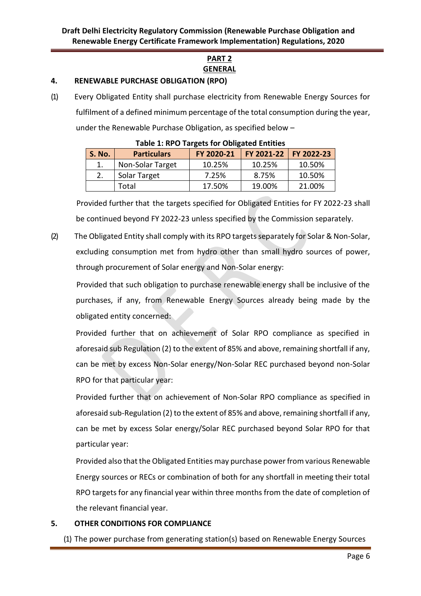## **PART 2 GENERAL**

#### **4. RENEWABLE PURCHASE OBLIGATION (RPO)**

(1) Every Obligated Entity shall purchase electricity from Renewable Energy Sources for fulfilment of a defined minimum percentage of the total consumption during the year, under the Renewable Purchase Obligation, as specified below –

| Table 1. RFO Targets for Obligated Liftlings |                    |            |                         |        |
|----------------------------------------------|--------------------|------------|-------------------------|--------|
| <b>S. No.</b>                                | <b>Particulars</b> | FY 2020-21 | FY 2021-22   FY 2022-23 |        |
|                                              | Non-Solar Target   | 10.25%     | 10.25%                  | 10.50% |
|                                              | Solar Target       | 7.25%      | 8.75%                   | 10.50% |
|                                              | Total              | 17.50%     | 19.00%                  | 21.00% |

Provided further that the targets specified for Obligated Entities for FY 2022-23 shall be continued beyond FY 2022-23 unless specified by the Commission separately.

(2) The Obligated Entity shall comply with its RPO targetsseparately for Solar & Non-Solar, excluding consumption met from hydro other than small hydro sources of power, through procurement of Solar energy and Non-Solar energy:

Provided that such obligation to purchase renewable energy shall be inclusive of the purchases, if any, from Renewable Energy Sources already being made by the obligated entity concerned:

Provided further that on achievement of Solar RPO compliance as specified in aforesaid sub Regulation (2) to the extent of 85% and above, remaining shortfall if any, can be met by excess Non-Solar energy/Non-Solar REC purchased beyond non-Solar RPO for that particular year:

Provided further that on achievement of Non-Solar RPO compliance as specified in aforesaid sub-Regulation (2) to the extent of 85% and above, remaining shortfall if any, can be met by excess Solar energy/Solar REC purchased beyond Solar RPO for that particular year:

Provided also that the Obligated Entities may purchase power from various Renewable Energy sources or RECs or combination of both for any shortfall in meeting their total RPO targets for any financial year within three months from the date of completion of the relevant financial year.

#### **5. OTHER CONDITIONS FOR COMPLIANCE**

(1) The power purchase from generating station(s) based on Renewable Energy Sources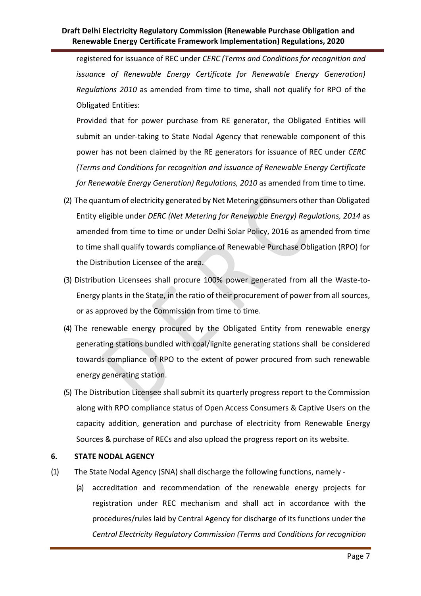registered for issuance of REC under *CERC (Terms and Conditions for recognition and issuance of Renewable Energy Certificate for Renewable Energy Generation) Regulations 2010* as amended from time to time, shall not qualify for RPO of the Obligated Entities:

Provided that for power purchase from RE generator, the Obligated Entities will submit an under-taking to State Nodal Agency that renewable component of this power has not been claimed by the RE generators for issuance of REC under *CERC (Terms and Conditions for recognition and issuance of Renewable Energy Certificate for Renewable Energy Generation) Regulations, 2010* as amended from time to time.

- (2) The quantum of electricity generated by Net Metering consumers other than Obligated Entity eligible under *DERC (Net Metering for Renewable Energy) Regulations, 2014* as amended from time to time or under Delhi Solar Policy, 2016 as amended from time to time shall qualify towards compliance of Renewable Purchase Obligation (RPO) for the Distribution Licensee of the area.
- (3) Distribution Licensees shall procure 100% power generated from all the Waste-to-Energy plants in the State, in the ratio of their procurement of power from all sources, or as approved by the Commission from time to time.
- (4) The renewable energy procured by the Obligated Entity from renewable energy generating stations bundled with coal/lignite generating stations shall be considered towards compliance of RPO to the extent of power procured from such renewable energy generating station.
- (5) The Distribution Licensee shall submit its quarterly progress report to the Commission along with RPO compliance status of Open Access Consumers & Captive Users on the capacity addition, generation and purchase of electricity from Renewable Energy Sources & purchase of RECs and also upload the progress report on its website.

#### **6. STATE NODAL AGENCY**

- (1) The State Nodal Agency (SNA) shall discharge the following functions, namely
	- (a) accreditation and recommendation of the renewable energy projects for registration under REC mechanism and shall act in accordance with the procedures/rules laid by Central Agency for discharge of its functions under the *Central Electricity Regulatory Commission (Terms and Conditions for recognition*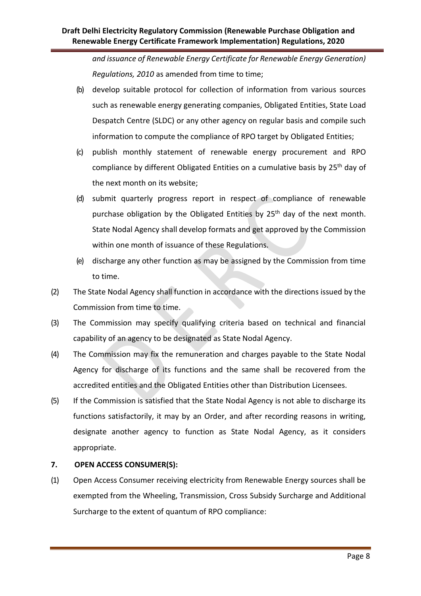*and issuance of Renewable Energy Certificate for Renewable Energy Generation) Regulations, 2010* as amended from time to time;

- (b) develop suitable protocol for collection of information from various sources such as renewable energy generating companies, Obligated Entities, State Load Despatch Centre (SLDC) or any other agency on regular basis and compile such information to compute the compliance of RPO target by Obligated Entities;
- (c) publish monthly statement of renewable energy procurement and RPO compliance by different Obligated Entities on a cumulative basis by 25<sup>th</sup> day of the next month on its website;
- (d) submit quarterly progress report in respect of compliance of renewable purchase obligation by the Obligated Entities by 25<sup>th</sup> day of the next month. State Nodal Agency shall develop formats and get approved by the Commission within one month of issuance of these Regulations.
- (e) discharge any other function as may be assigned by the Commission from time to time.
- (2) The State Nodal Agency shall function in accordance with the directions issued by the Commission from time to time.
- (3) The Commission may specify qualifying criteria based on technical and financial capability of an agency to be designated as State Nodal Agency.
- (4) The Commission may fix the remuneration and charges payable to the State Nodal Agency for discharge of its functions and the same shall be recovered from the accredited entities and the Obligated Entities other than Distribution Licensees.
- (5) If the Commission is satisfied that the State Nodal Agency is not able to discharge its functions satisfactorily, it may by an Order, and after recording reasons in writing, designate another agency to function as State Nodal Agency, as it considers appropriate.

## **7. OPEN ACCESS CONSUMER(S):**

(1) Open Access Consumer receiving electricity from Renewable Energy sources shall be exempted from the Wheeling, Transmission, Cross Subsidy Surcharge and Additional Surcharge to the extent of quantum of RPO compliance: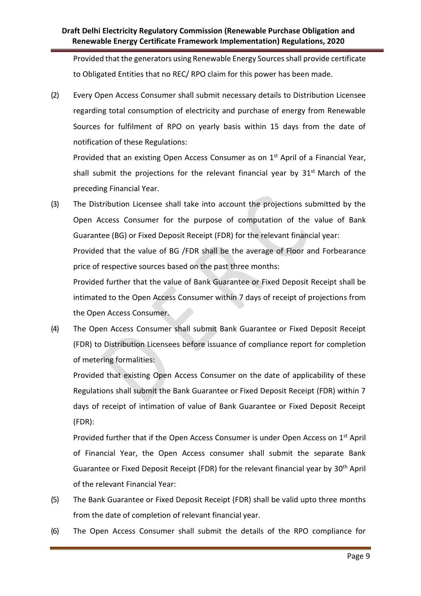Provided that the generators using Renewable Energy Sources shall provide certificate to Obligated Entities that no REC/ RPO claim for this power has been made.

(2) Every Open Access Consumer shall submit necessary details to Distribution Licensee regarding total consumption of electricity and purchase of energy from Renewable Sources for fulfilment of RPO on yearly basis within 15 days from the date of notification of these Regulations:

Provided that an existing Open Access Consumer as on 1<sup>st</sup> April of a Financial Year, shall submit the projections for the relevant financial year by 31<sup>st</sup> March of the preceding Financial Year.

(3) The Distribution Licensee shall take into account the projections submitted by the Open Access Consumer for the purpose of computation of the value of Bank Guarantee (BG) or Fixed Deposit Receipt (FDR) for the relevant financial year: Provided that the value of BG /FDR shall be the average of Floor and Forbearance price of respective sources based on the past three months:

Provided further that the value of Bank Guarantee or Fixed Deposit Receipt shall be intimated to the Open Access Consumer within 7 days of receipt of projections from the Open Access Consumer.

(4) The Open Access Consumer shall submit Bank Guarantee or Fixed Deposit Receipt (FDR) to Distribution Licensees before issuance of compliance report for completion of metering formalities:

Provided that existing Open Access Consumer on the date of applicability of these Regulations shall submit the Bank Guarantee or Fixed Deposit Receipt (FDR) within 7 days of receipt of intimation of value of Bank Guarantee or Fixed Deposit Receipt (FDR):

Provided further that if the Open Access Consumer is under Open Access on 1<sup>st</sup> April of Financial Year, the Open Access consumer shall submit the separate Bank Guarantee or Fixed Deposit Receipt (FDR) for the relevant financial year by 30<sup>th</sup> April of the relevant Financial Year:

- (5) The Bank Guarantee or Fixed Deposit Receipt (FDR) shall be valid upto three months from the date of completion of relevant financial year.
- (6) The Open Access Consumer shall submit the details of the RPO compliance for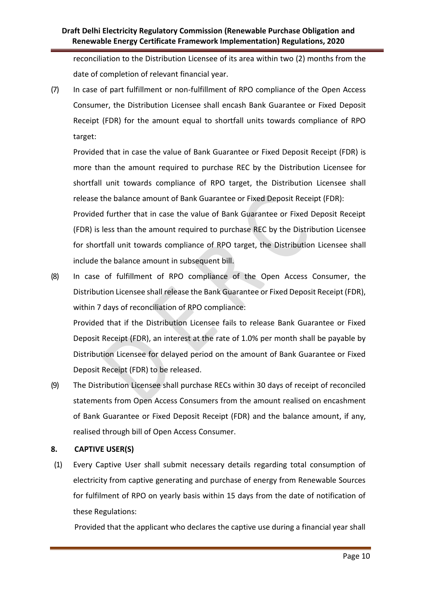reconciliation to the Distribution Licensee of its area within two (2) months from the date of completion of relevant financial year.

(7) In case of part fulfillment or non-fulfillment of RPO compliance of the Open Access Consumer, the Distribution Licensee shall encash Bank Guarantee or Fixed Deposit Receipt (FDR) for the amount equal to shortfall units towards compliance of RPO target:

Provided that in case the value of Bank Guarantee or Fixed Deposit Receipt (FDR) is more than the amount required to purchase REC by the Distribution Licensee for shortfall unit towards compliance of RPO target, the Distribution Licensee shall release the balance amount of Bank Guarantee or Fixed Deposit Receipt (FDR):

Provided further that in case the value of Bank Guarantee or Fixed Deposit Receipt (FDR) is less than the amount required to purchase REC by the Distribution Licensee for shortfall unit towards compliance of RPO target, the Distribution Licensee shall include the balance amount in subsequent bill.

(8) In case of fulfillment of RPO compliance of the Open Access Consumer, the Distribution Licensee shall release the Bank Guarantee or Fixed Deposit Receipt (FDR), within 7 days of reconciliation of RPO compliance: Provided that if the Distribution Licensee fails to release Bank Guarantee or Fixed

Deposit Receipt (FDR), an interest at the rate of 1.0% per month shall be payable by Distribution Licensee for delayed period on the amount of Bank Guarantee or Fixed Deposit Receipt (FDR) to be released.

(9) The Distribution Licensee shall purchase RECs within 30 days of receipt of reconciled statements from Open Access Consumers from the amount realised on encashment of Bank Guarantee or Fixed Deposit Receipt (FDR) and the balance amount, if any, realised through bill of Open Access Consumer.

#### **8. CAPTIVE USER(S)**

(1) Every Captive User shall submit necessary details regarding total consumption of electricity from captive generating and purchase of energy from Renewable Sources for fulfilment of RPO on yearly basis within 15 days from the date of notification of these Regulations:

Provided that the applicant who declares the captive use during a financial year shall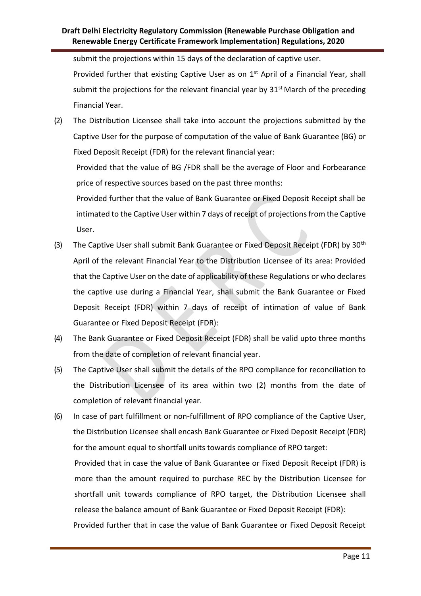submit the projections within 15 days of the declaration of captive user.

Provided further that existing Captive User as on 1<sup>st</sup> April of a Financial Year, shall submit the projections for the relevant financial year by  $31<sup>st</sup>$  March of the preceding Financial Year.

(2) The Distribution Licensee shall take into account the projections submitted by the Captive User for the purpose of computation of the value of Bank Guarantee (BG) or Fixed Deposit Receipt (FDR) for the relevant financial year:

Provided that the value of BG /FDR shall be the average of Floor and Forbearance price of respective sources based on the past three months:

Provided further that the value of Bank Guarantee or Fixed Deposit Receipt shall be intimated to the Captive User within 7 days of receipt of projections from the Captive User.

- (3) The Captive User shall submit Bank Guarantee or Fixed Deposit Receipt (FDR) by 30<sup>th</sup> April of the relevant Financial Year to the Distribution Licensee of its area: Provided that the Captive User on the date of applicability of these Regulations or who declares the captive use during a Financial Year, shall submit the Bank Guarantee or Fixed Deposit Receipt (FDR) within 7 days of receipt of intimation of value of Bank Guarantee or Fixed Deposit Receipt (FDR):
- (4) The Bank Guarantee or Fixed Deposit Receipt (FDR) shall be valid upto three months from the date of completion of relevant financial year.
- (5) The Captive User shall submit the details of the RPO compliance for reconciliation to the Distribution Licensee of its area within two (2) months from the date of completion of relevant financial year.
- (6) In case of part fulfillment or non-fulfillment of RPO compliance of the Captive User, the Distribution Licensee shall encash Bank Guarantee or Fixed Deposit Receipt (FDR) for the amount equal to shortfall units towards compliance of RPO target: Provided that in case the value of Bank Guarantee or Fixed Deposit Receipt (FDR) is more than the amount required to purchase REC by the Distribution Licensee for shortfall unit towards compliance of RPO target, the Distribution Licensee shall release the balance amount of Bank Guarantee or Fixed Deposit Receipt (FDR): Provided further that in case the value of Bank Guarantee or Fixed Deposit Receipt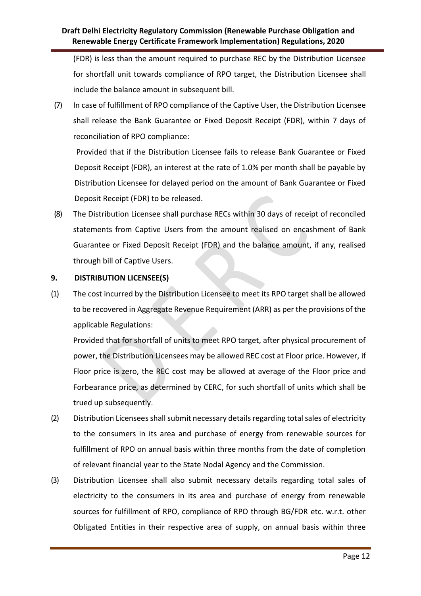(FDR) is less than the amount required to purchase REC by the Distribution Licensee for shortfall unit towards compliance of RPO target, the Distribution Licensee shall include the balance amount in subsequent bill.

(7) In case of fulfillment of RPO compliance of the Captive User, the Distribution Licensee shall release the Bank Guarantee or Fixed Deposit Receipt (FDR), within 7 days of reconciliation of RPO compliance:

Provided that if the Distribution Licensee fails to release Bank Guarantee or Fixed Deposit Receipt (FDR), an interest at the rate of 1.0% per month shall be payable by Distribution Licensee for delayed period on the amount of Bank Guarantee or Fixed Deposit Receipt (FDR) to be released.

(8) The Distribution Licensee shall purchase RECs within 30 days of receipt of reconciled statements from Captive Users from the amount realised on encashment of Bank Guarantee or Fixed Deposit Receipt (FDR) and the balance amount, if any, realised through bill of Captive Users.

#### **9. DISTRIBUTION LICENSEE(S)**

(1) The cost incurred by the Distribution Licensee to meet its RPO target shall be allowed to be recovered in Aggregate Revenue Requirement (ARR) as per the provisions of the applicable Regulations:

Provided that for shortfall of units to meet RPO target, after physical procurement of power, the Distribution Licensees may be allowed REC cost at Floor price. However, if Floor price is zero, the REC cost may be allowed at average of the Floor price and Forbearance price, as determined by CERC, for such shortfall of units which shall be trued up subsequently.

- (2) Distribution Licensees shall submit necessary details regarding total sales of electricity to the consumers in its area and purchase of energy from renewable sources for fulfillment of RPO on annual basis within three months from the date of completion of relevant financial year to the State Nodal Agency and the Commission.
- (3) Distribution Licensee shall also submit necessary details regarding total sales of electricity to the consumers in its area and purchase of energy from renewable sources for fulfillment of RPO, compliance of RPO through BG/FDR etc. w.r.t. other Obligated Entities in their respective area of supply, on annual basis within three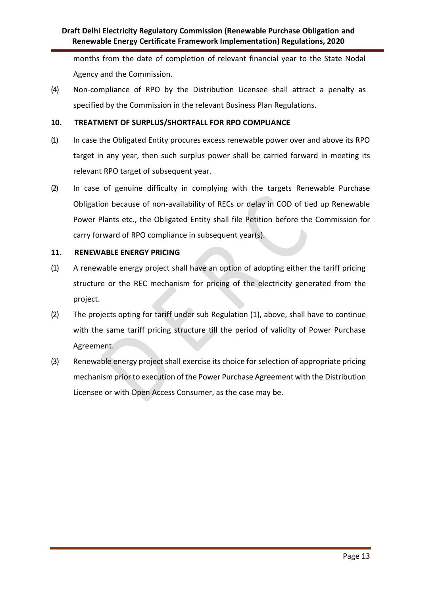months from the date of completion of relevant financial year to the State Nodal Agency and the Commission.

(4) Non-compliance of RPO by the Distribution Licensee shall attract a penalty as specified by the Commission in the relevant Business Plan Regulations.

#### **10. TREATMENT OF SURPLUS/SHORTFALL FOR RPO COMPLIANCE**

- (1) In case the Obligated Entity procures excess renewable power over and above its RPO target in any year, then such surplus power shall be carried forward in meeting its relevant RPO target of subsequent year.
- (2) In case of genuine difficulty in complying with the targets Renewable Purchase Obligation because of non-availability of RECs or delay in COD of tied up Renewable Power Plants etc., the Obligated Entity shall file Petition before the Commission for carry forward of RPO compliance in subsequent year(s).

#### **11. RENEWABLE ENERGY PRICING**

- (1) A renewable energy project shall have an option of adopting either the tariff pricing structure or the REC mechanism for pricing of the electricity generated from the project.
- (2) The projects opting for tariff under sub Regulation (1), above, shall have to continue with the same tariff pricing structure till the period of validity of Power Purchase Agreement.
- (3) Renewable energy project shall exercise its choice for selection of appropriate pricing mechanism prior to execution of the Power Purchase Agreement with the Distribution Licensee or with Open Access Consumer, as the case may be.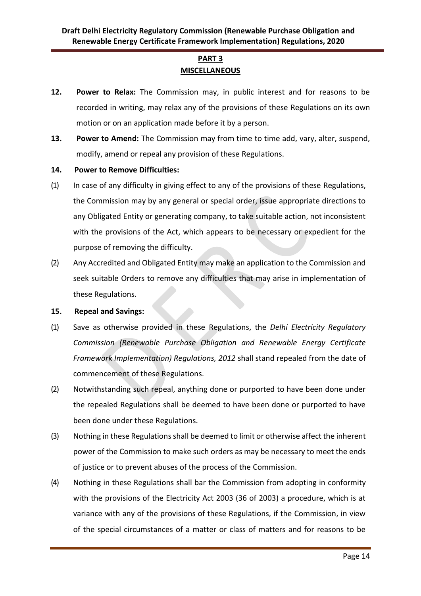## **PART 3 MISCELLANEOUS**

- **12. Power to Relax:** The Commission may, in public interest and for reasons to be recorded in writing, may relax any of the provisions of these Regulations on its own motion or on an application made before it by a person.
- **13. Power to Amend:** The Commission may from time to time add, vary, alter, suspend, modify, amend or repeal any provision of these Regulations.
- **14. Power to Remove Difficulties:**
- (1) In case of any difficulty in giving effect to any of the provisions of these Regulations, the Commission may by any general or special order, issue appropriate directions to any Obligated Entity or generating company, to take suitable action, not inconsistent with the provisions of the Act, which appears to be necessary or expedient for the purpose of removing the difficulty.
- (2) Any Accredited and Obligated Entity may make an application to the Commission and seek suitable Orders to remove any difficulties that may arise in implementation of these Regulations.

#### **15. Repeal and Savings:**

- (1) Save as otherwise provided in these Regulations, the *Delhi Electricity Regulatory Commission (Renewable Purchase Obligation and Renewable Energy Certificate Framework Implementation) Regulations, 2012* shall stand repealed from the date of commencement of these Regulations.
- (2) Notwithstanding such repeal, anything done or purported to have been done under the repealed Regulations shall be deemed to have been done or purported to have been done under these Regulations.
- (3) Nothing in these Regulations shall be deemed to limit or otherwise affect the inherent power of the Commission to make such orders as may be necessary to meet the ends of justice or to prevent abuses of the process of the Commission.
- (4) Nothing in these Regulations shall bar the Commission from adopting in conformity with the provisions of the Electricity Act 2003 (36 of 2003) a procedure, which is at variance with any of the provisions of these Regulations, if the Commission, in view of the special circumstances of a matter or class of matters and for reasons to be